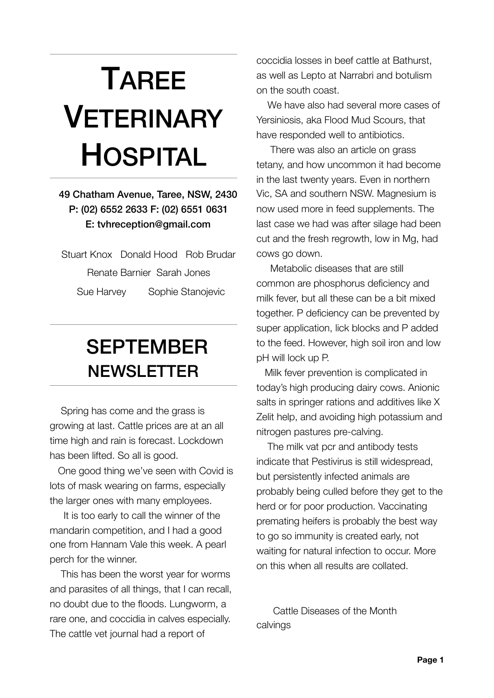## TAREE VETERINARY HOSPITAL

## 49 Chatham Avenue, Taree, NSW, 2430 P: (02) 6552 2633 F: (02) 6551 0631 E: [tvhreception@gmail.com](mailto:tarvet@tpgi.com.au?subject=)

Stuart Knox Donald Hood Rob Brudar Renate Barnier Sarah Jones Sue Harvey Sophie Stanojevic

## SEPTEMBER<br>NEWSLETTER

 Spring has come and the grass is growing at last. Cattle prices are at an all time high and rain is forecast. Lockdown has been lifted. So all is good.

 One good thing we've seen with Covid is lots of mask wearing on farms, especially the larger ones with many employees.

 It is too early to call the winner of the mandarin competition, and I had a good one from Hannam Vale this week. A pearl perch for the winner.

 This has been the worst year for worms and parasites of all things, that I can recall, no doubt due to the floods. Lungworm, a rare one, and coccidia in calves especially. The cattle vet journal had a report of

coccidia losses in beef cattle at Bathurst, as well as Lepto at Narrabri and botulism on the south coast.

 We have also had several more cases of Yersiniosis, aka Flood Mud Scours, that have responded well to antibiotics.

 There was also an article on grass tetany, and how uncommon it had become in the last twenty years. Even in northern Vic, SA and southern NSW. Magnesium is now used more in feed supplements. The last case we had was after silage had been cut and the fresh regrowth, low in Mg, had cows go down.

 Metabolic diseases that are still common are phosphorus deficiency and milk fever, but all these can be a bit mixed together. P deficiency can be prevented by super application, lick blocks and P added to the feed. However, high soil iron and low pH will lock up P.

 Milk fever prevention is complicated in today's high producing dairy cows. Anionic salts in springer rations and additives like X Zelit help, and avoiding high potassium and nitrogen pastures pre-calving.

 The milk vat pcr and antibody tests indicate that Pestivirus is still widespread, but persistently infected animals are probably being culled before they get to the herd or for poor production. Vaccinating premating heifers is probably the best way to go so immunity is created early, not waiting for natural infection to occur. More on this when all results are collated.

 Cattle Diseases of the Month calvings